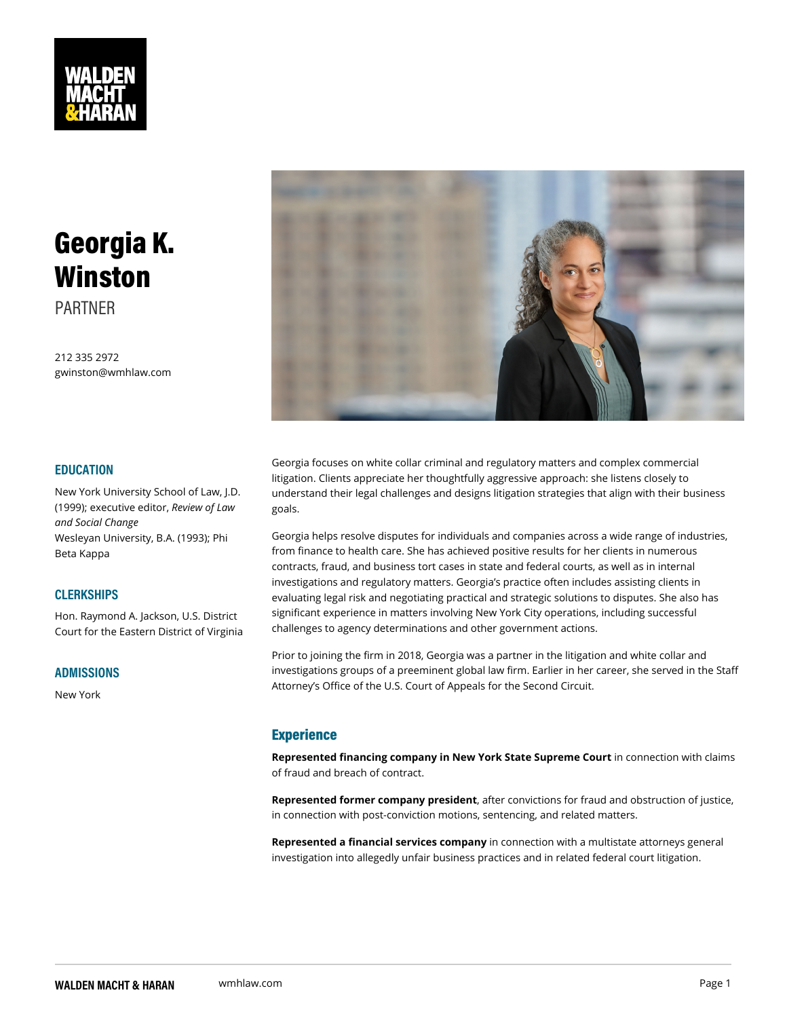# Georgia K. Winston PARTNER

212 335 2972 gwinston@wmhlaw.com

#### EDUCATION

Georgia focuses on white collar criminal and regulatory matters and c litigation. Clients appreciate her thoughtfully aggressive approach: sh New York University School ot A awrs that their legal challenges and designs litigation strategies that (1999); executivReeovoiletwo ro, f Lawgoals.

and Social Change

Wesleyan University, B.A. (19 Ggp; phini helps resolve disputes for individuals and companies across a from finance to health care. She has achieved positive results for her contracts, fraud, and business tort cases in state and federal courts, investigations and regulatory matters. Georgia s practice often includ evaluating legal risk and negotiating practical and strategic solutions Beta Kappa CLERKSHIPS

Hon. Raymond A. Jackson, U.§!9fbitifip experience in matters involving New York City operations, Court for the Eastern District Ghalleng an agency determinations and other government actions.

### ADMISSIONS

New York

Prior to joining the firm in 2018, Georgia was a partner in the litigation investigations groups of a preeminent global law firm. Earlier in her c Attorney s Office of the U.S. Court of Appeals for the Second Circuit.

### Experience

Represented financing company in New York Stanec Supeetrion Cwitht clai of fraud and breach of contract.

Represented former company, preside entitions for fraud and obstruction of  $\mathbf x$ in connection with post-conviction motions, sentencing, and related m

Represented a financial serviciens commpanion with a multistate attorney investigation into allegedly unfair business practices and in related for